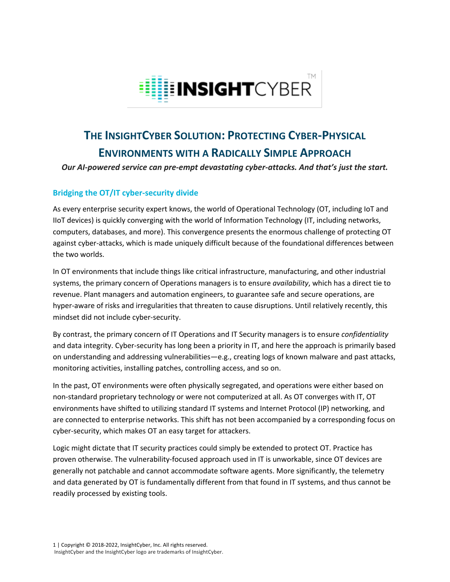

# **THE INSIGHTCYBER SOLUTION: PROTECTING CYBER-PHYSICAL ENVIRONMENTS WITH A RADICALLY SIMPLE APPROACH**

*Our AI-powered service can pre-empt devastating cyber-attacks. And that's just the start.*

## **Bridging the OT/IT cyber-security divide**

As every enterprise security expert knows, the world of Operational Technology (OT, including IoT and IIoT devices) is quickly converging with the world of Information Technology (IT, including networks, computers, databases, and more). This convergence presents the enormous challenge of protecting OT against cyber-attacks, which is made uniquely difficult because of the foundational differences between the two worlds.

In OT environments that include things like critical infrastructure, manufacturing, and other industrial systems, the primary concern of Operations managers is to ensure *availability*, which has a direct tie to revenue. Plant managers and automation engineers, to guarantee safe and secure operations, are hyper-aware of risks and irregularities that threaten to cause disruptions. Until relatively recently, this mindset did not include cyber-security.

By contrast, the primary concern of IT Operations and IT Security managers is to ensure *confidentiality* and data integrity. Cyber-security has long been a priority in IT, and here the approach is primarily based on understanding and addressing vulnerabilities—e.g., creating logs of known malware and past attacks, monitoring activities, installing patches, controlling access, and so on.

In the past, OT environments were often physically segregated, and operations were either based on non-standard proprietary technology or were not computerized at all. As OT converges with IT, OT environments have shifted to utilizing standard IT systems and Internet Protocol (IP) networking, and are connected to enterprise networks. This shift has not been accompanied by a corresponding focus on cyber-security, which makes OT an easy target for attackers.

Logic might dictate that IT security practices could simply be extended to protect OT. Practice has proven otherwise. The vulnerability-focused approach used in IT is unworkable, since OT devices are generally not patchable and cannot accommodate software agents. More significantly, the telemetry and data generated by OT is fundamentally different from that found in IT systems, and thus cannot be readily processed by existing tools.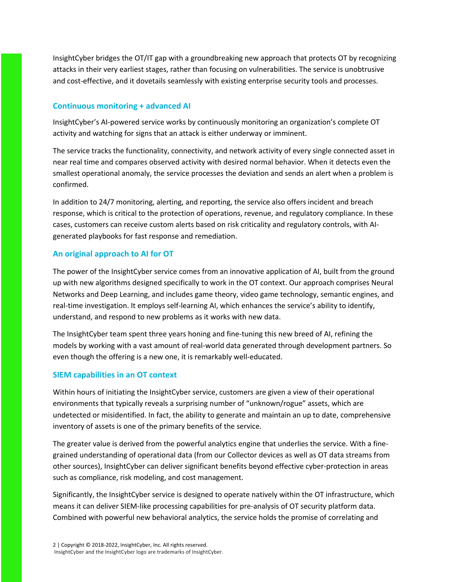InsightCyber bridges the OT/IT gap with a groundbreaking new approach that protects OT by recognizing attacks in their very earliest stages, rather than focusing on vulnerabilities. The service is unobtrusive and cost-effective, and it dovetails seamlessly with existing enterprise security tools and processes.

#### **Continuous monitoring + advanced AI**

InsightCyber's AI-powered service works by continuously monitoring an organization's complete OT activity and watching for signs that an attack is either underway or imminent.

The service tracks the functionality, connectivity, and network activity of every single connected asset in near real time and compares observed activity with desired normal behavior. When it detects even the smallest operational anomaly, the service processes the deviation and sends an alert when a problem is confirmed.

In addition to 24/7 monitoring, alerting, and reporting, the service also offers incident and breach response, which is critical to the protection of operations, revenue, and regulatory compliance. In these cases, customers can receive custom alerts based on risk criticality and regulatory controls, with AIgenerated playbooks for fast response and remediation.

## **An original approach to AI for OT**

The power of the InsightCyber service comes from an innovative application of AI, built from the ground up with new algorithms designed specifically to work in the OT context. Our approach comprises Neural Networks and Deep Learning, and includes game theory, video game technology, semantic engines, and real-time investigation. It employs self-learning AI, which enhances the service's ability to identify, understand, and respond to new problems as it works with new data.

The InsightCyber team spent three years honing and fine-tuning this new breed of AI, refining the models by working with a vast amount of real-world data generated through development partners. So even though the offering is a new one, it is remarkably well-educated.

## **SIEM capabilities in an OT context**

Within hours of initiating the InsightCyber service, customers are given a view of their operational environments that typically reveals a surprising number of "unknown/rogue" assets, which are undetected or misidentified. In fact, the ability to generate and maintain an up to date, comprehensive inventory of assets is one of the primary benefits of the service.

The greater value is derived from the powerful analytics engine that underlies the service. With a finegrained understanding of operational data (from our Collector devices as well as OT data streams from other sources), InsightCyber can deliver significant benefits beyond effective cyber-protection in areas such as compliance, risk modeling, and cost management.

Significantly, the InsightCyber service is designed to operate natively within the OT infrastructure, which means it can deliver SIEM-like processing capabilities for pre-analysis of OT security platform data. Combined with powerful new behavioral analytics, the service holds the promise of correlating and